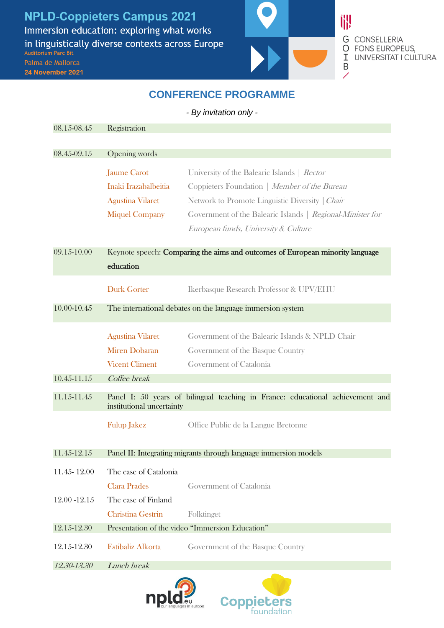**NPLD-Coppieters Campus 2021** Immersion education: exploring what works in linguistically diverse contexts across Europe Auditorium Parc Bit Palma de Mallorca

24 November 2021



**G** CONSELLERIA O FONS EUROPEUS, I UNIVERSITAT I CULTURA

## **CONFERENCE PROGRAMME**

*- By invitation only -*

| 08.15-08.45   | Registration                                                                                                |                                                            |
|---------------|-------------------------------------------------------------------------------------------------------------|------------------------------------------------------------|
| 08.45-09.15   | Opening words                                                                                               |                                                            |
|               |                                                                                                             |                                                            |
|               | <b>Jaume Carot</b>                                                                                          | University of the Balearic Islands   Rector                |
|               | Inaki Irazabalbeitia                                                                                        | Coppieters Foundation   Member of the Bureau               |
|               | <b>Agustina Vilaret</b>                                                                                     | Network to Promote Linguistic Diversity   Chair            |
|               | <b>Miquel Company</b>                                                                                       | Government of the Balearic Islands   Regional-Minister for |
|               |                                                                                                             | European funds, University & Culture                       |
| 09.15-10.00   | Keynote speech: Comparing the aims and outcomes of European minority language                               |                                                            |
|               | education                                                                                                   |                                                            |
|               | <b>Durk Gorter</b>                                                                                          | Ikerbasque Research Professor & UPV/EHU                    |
| 10.00-10.45   | The international debates on the language immersion system                                                  |                                                            |
|               | <b>Agustina Vilaret</b>                                                                                     | Government of the Balearic Islands & NPLD Chair            |
|               | <b>Miren Dobaran</b>                                                                                        | Government of the Basque Country                           |
|               | <b>Vicent Climent</b>                                                                                       | Government of Catalonia                                    |
| 10.45-11.15   | Coffee break                                                                                                |                                                            |
| 11.15-11.45   | Panel I: 50 years of bilingual teaching in France: educational achievement and<br>institutional uncertainty |                                                            |
|               | <b>Fulup Jakez</b>                                                                                          | Office Public de la Langue Bretonne                        |
| 11.45-12.15   | Panel II: Integrating migrants through language immersion models                                            |                                                            |
| 11.45-12.00   | The case of Catalonia                                                                                       |                                                            |
|               | <b>Clara Prades</b>                                                                                         | Government of Catalonia                                    |
| 12.00 - 12.15 | The case of Finland                                                                                         |                                                            |
|               | Christina Gestrin                                                                                           | Folktinget                                                 |
| 12.15-12.30   | Presentation of the video "Immersion Education"                                                             |                                                            |
| 12.15-12.30   | Estibaliz Alkorta                                                                                           | Government of the Basque Country                           |
| 12.30-13.30   | Lunch break                                                                                                 |                                                            |
|               |                                                                                                             |                                                            |